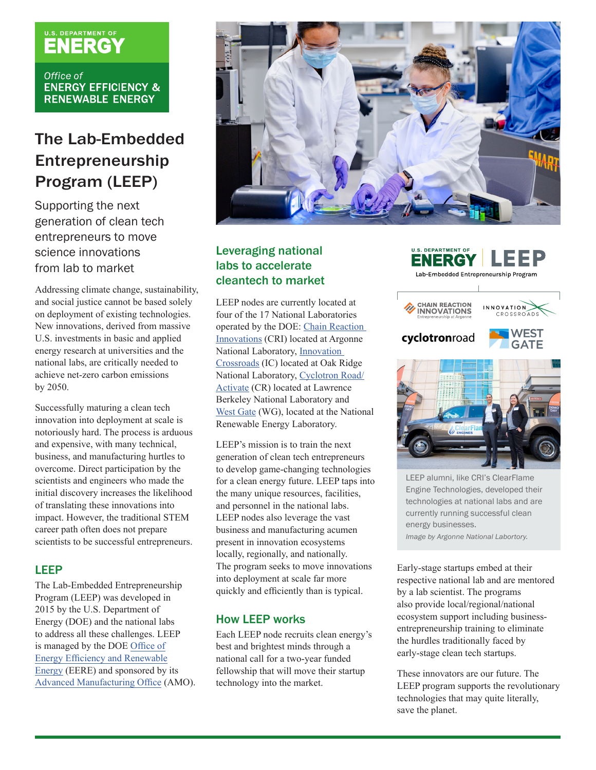# U.S. DEPARTMENT OF

Office of **ENERGY EFFICIENCY & RENEWABLE ENERGY** 

# The Lab-Embedded Entrepreneurship Program (LEEP)

Supporting the next generation of clean tech entrepreneurs to move science innovations from lab to market

Addressing climate change, sustainability, and social justice cannot be based solely on deployment of existing technologies. New innovations, derived from massive U.S. investments in basic and applied energy research at universities and the national labs, are critically needed to achieve net-zero carbon emissions by 2050.

Successfully maturing a clean tech innovation into deployment at scale is notoriously hard. The process is arduous and expensive, with many technical, business, and manufacturing hurtles to overcome. Direct participation by the scientists and engineers who made the initial discovery increases the likelihood of translating these innovations into impact. However, the traditional STEM career path often does not prepare scientists to be successful entrepreneurs.

### LEEP

The Lab-Embedded Entrepreneurship Program (LEEP) was developed in 2015 by the U.S. Department of Energy (DOE) and the national labs to address all these challenges. LEEP is managed by the DOE [Office of](https://www.energy.gov/eere/office-energy-efficiency-renewable-energy)  [Energy Efficiency and Renewable](https://www.energy.gov/eere/office-energy-efficiency-renewable-energy)  [Energy](https://www.energy.gov/eere/office-energy-efficiency-renewable-energy) (EERE) and sponsored by its [Advanced Manufacturing Office](https://www.energy.gov/eere/amo/advanced-manufacturing-office) (AMO).



# Leveraging national labs to accelerate cleantech to market

LEEP nodes are currently located at four of the 17 National Laboratories operated by the DOE: [Chain Reaction](https://chainreaction.anl.gov/)  [Innovations](https://chainreaction.anl.gov/) (CRI) located at Argonne National Laboratory, [Innovation](https://innovationcrossroads.ornl.gov/)  [Crossroads](https://innovationcrossroads.ornl.gov/) (IC) located at Oak Ridge National Laboratory, [Cyclotron Road/](https://cyclotronroad.lbl.gov/) [Activate](https://cyclotronroad.lbl.gov/) (CR) located at Lawrence Berkeley National Laboratory and [West Gate](https://westgate.nrel.gov) (WG), located at the National Renewable Energy Laboratory.

LEEP's mission is to train the next generation of clean tech entrepreneurs to develop game-changing technologies for a clean energy future. LEEP taps into the many unique resources, facilities, and personnel in the national labs. LEEP nodes also leverage the vast business and manufacturing acumen present in innovation ecosystems locally, regionally, and nationally. The program seeks to move innovations into deployment at scale far more quickly and efficiently than is typical.

#### How LEEP works

Each LEEP node recruits clean energy's best and brightest minds through a national call for a two-year funded fellowship that will move their startup technology into the market.

#### **U.S. DEPARTMENT OF** ENERGY Lab-Embedded Entrepreneurship Program









LEEP alumni, like CRI's ClearFlame Engine Technologies, developed their technologies at national labs and are currently running successful clean energy businesses. *Image by Argonne National Labortory.*

Early-stage startups embed at their respective national lab and are mentored by a lab scientist. The programs also provide local/regional/national ecosystem support including businessentrepreneurship training to eliminate the hurdles traditionally faced by early-stage clean tech startups.

These innovators are our future. The LEEP program supports the revolutionary technologies that may quite literally, save the planet.